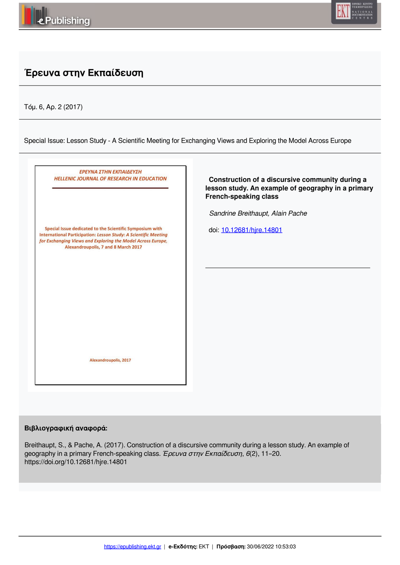



## **Έρευνα στην Εκπαίδευση**

Τόμ. 6, Αρ. 2 (2017)

Special Issue: Lesson Study - A Scientific Meeting for Exchanging Views and Exploring the Model Across Europe



#### **Βιβλιογραφική αναφορά:**

Breithaupt, S., & Pache, A. (2017). Construction of a discursive community during a lesson study. An example of geography in a primary French-speaking class. *Έρευνα στην Εκπαίδευση*, *6*(2), 11–20. https://doi.org/10.12681/hjre.14801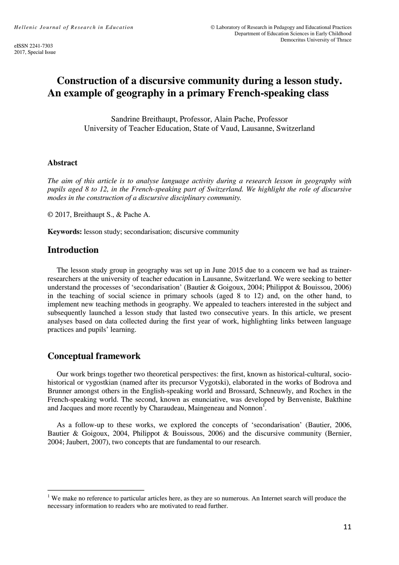# **Construction of a discursive community during a lesson study. An example of geography in a primary French-speaking class**

Sandrine Breithaupt, Professor, Alain Pache, Professor University of Teacher Education, State of Vaud, Lausanne, Switzerland

#### **Abstract**

*The aim of this article is to analyse language activity during a research lesson in geography with pupils aged 8 to 12, in the French-speaking part of Switzerland. We highlight the role of discursive modes in the construction of a discursive disciplinary community.* 

© 2017, Breithaupt S., & Pache A.

**Keywords:** lesson study; secondarisation; discursive community

### **Introduction**

 The lesson study group in geography was set up in June 2015 due to a concern we had as trainerresearchers at the university of teacher education in Lausanne, Switzerland. We were seeking to better understand the processes of 'secondarisation' (Bautier & Goigoux, 2004; Philippot & Bouissou, 2006) in the teaching of social science in primary schools (aged 8 to 12) and, on the other hand, to implement new teaching methods in geography. We appealed to teachers interested in the subject and subsequently launched a lesson study that lasted two consecutive years. In this article, we present analyses based on data collected during the first year of work, highlighting links between language practices and pupils' learning.

### **Conceptual framework**

 $\overline{a}$ 

 Our work brings together two theoretical perspectives: the first, known as historical-cultural, sociohistorical or vygostkian (named after its precursor Vygotski), elaborated in the works of Bodrova and Brunner amongst others in the English-speaking world and Brossard, Schneuwly, and Rochex in the French-speaking world. The second, known as enunciative, was developed by Benveniste, Bakthine and Jacques and more recently by Charaudeau, Maingeneau and Nonnon<sup> $\overline{1}$ </sup>.

 As a follow-up to these works, we explored the concepts of 'secondarisation' (Bautier, 2006, Bautier & Goigoux, 2004, Philippot & Bouissous, 2006) and the discursive community (Bernier, 2004; Jaubert, 2007), two concepts that are fundamental to our research.

<sup>&</sup>lt;sup>1</sup> We make no reference to particular articles here, as they are so numerous. An Internet search will produce the necessary information to readers who are motivated to read further.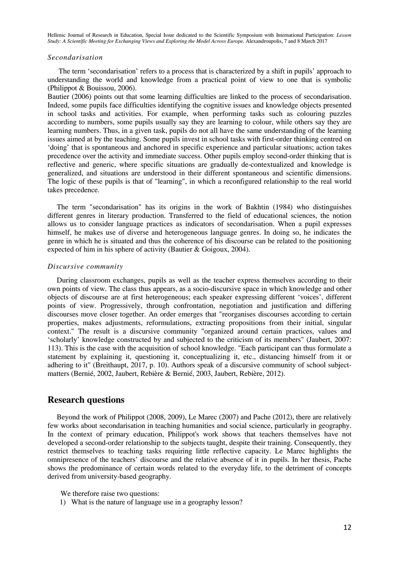#### *Secondarisation*

 The term 'secondarisation' refers to a process that is characterized by a shift in pupils' approach to understanding the world and knowledge from a practical point of view to one that is symbolic (Philippot & Bouissou, 2006).

Bautier (2006) points out that some learning difficulties are linked to the process of secondarisation. Indeed, some pupils face difficulties identifying the cognitive issues and knowledge objects presented in school tasks and activities. For example, when performing tasks such as colouring puzzles according to numbers, some pupils usually say they are learning to colour, while others say they are learning numbers. Thus, in a given task, pupils do not all have the same understanding of the learning issues aimed at by the teaching. Some pupils invest in school tasks with first-order thinking centred on 'doing' that is spontaneous and anchored in specific experience and particular situations; action takes precedence over the activity and immediate success. Other pupils employ second-order thinking that is reflective and generic, where specific situations are gradually de-contextualized and knowledge is generalized, and situations are understood in their different spontaneous and scientific dimensions. The logic of these pupils is that of "learning", in which a reconfigured relationship to the real world takes precedence.

 The term "secondarisation" has its origins in the work of Bakhtin (1984) who distinguishes different genres in literary production. Transferred to the field of educational sciences, the notion allows us to consider language practices as indicators of secondarisation. When a pupil expresses himself, he makes use of diverse and heterogeneous language genres. In doing so, he indicates the genre in which he is situated and thus the coherence of his discourse can be related to the positioning expected of him in his sphere of activity (Bautier & Goigoux, 2004).

#### *Discursive community*

 During classroom exchanges, pupils as well as the teacher express themselves according to their own points of view. The class thus appears, as a socio-discursive space in which knowledge and other objects of discourse are at first heterogeneous; each speaker expressing different 'voices', different points of view. Progressively, through confrontation, negotiation and justification and differing discourses move closer together. An order emerges that "reorganises discourses according to certain properties, makes adjustments, reformulations, extracting propositions from their initial, singular context." The result is a discursive community "organized around certain practices, values and 'scholarly' knowledge constructed by and subjected to the criticism of its members" (Jaubert, 2007: 113). This is the case with the acquisition of school knowledge. "Each participant can thus formulate a statement by explaining it, questioning it, conceptualizing it, etc., distancing himself from it or adhering to it" (Breithaupt, 2017, p. 10). Authors speak of a discursive community of school subjectmatters (Bernié, 2002, Jaubert, Rebière & Bernié, 2003, Jaubert, Rebière, 2012).

### **Research questions**

 Beyond the work of Philippot (2008, 2009), Le Marec (2007) and Pache (2012), there are relatively few works about secondarisation in teaching humanities and social science, particularly in geography. In the context of primary education, Philippot's work shows that teachers themselves have not developed a second-order relationship to the subjects taught, despite their training. Consequently, they restrict themselves to teaching tasks requiring little reflective capacity. Le Marec highlights the omnipresence of the teachers' discourse and the relative absence of it in pupils. In her thesis, Pache shows the predominance of certain words related to the everyday life, to the detriment of concepts derived from university-based geography.

We therefore raise two questions:

1) What is the nature of language use in a geography lesson?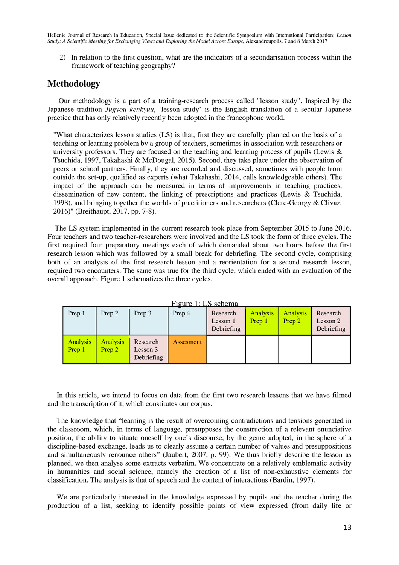2) In relation to the first question, what are the indicators of a secondarisation process within the framework of teaching geography?

### **Methodology**

 Our methodology is a part of a training-research process called "lesson study". Inspired by the Japanese tradition *Jugyou kenkyuu*, 'lesson study' is the English translation of a secular Japanese practice that has only relatively recently been adopted in the francophone world.

"What characterizes lesson studies (LS) is that, first they are carefully planned on the basis of a teaching or learning problem by a group of teachers, sometimes in association with researchers or university professors. They are focused on the teaching and learning process of pupils (Lewis  $\&$ Tsuchida, 1997, Takahashi & McDougal, 2015). Second, they take place under the observation of peers or school partners. Finally, they are recorded and discussed, sometimes with people from outside the set-up, qualified as experts (what Takahashi, 2014, calls knowledgeable others). The impact of the approach can be measured in terms of improvements in teaching practices, dissemination of new content, the linking of prescriptions and practices (Lewis & Tsuchida, 1998), and bringing together the worlds of practitioners and researchers (Clerc-Georgy & Clivaz, 2016)" (Breithaupt, 2017, pp. 7-8).

 The LS system implemented in the current research took place from September 2015 to June 2016. Four teachers and two teacher-researchers were involved and the LS took the form of three cycles. The first required four preparatory meetings each of which demanded about two hours before the first research lesson which was followed by a small break for debriefing. The second cycle, comprising both of an analysis of the first research lesson and a reorientation for a second research lesson, required two encounters. The same was true for the third cycle, which ended with an evaluation of the overall approach. Figure 1 schematizes the three cycles.

| Prep 1                    | Prep 2                    | Prep 3                             | Prep 4    | Research<br>Lesson 1<br>Debriefing | <b>Analysis</b><br>Prep 1 | <b>Analysis</b><br>Prep 2 | Research<br>Lesson 2<br>Debriefing |
|---------------------------|---------------------------|------------------------------------|-----------|------------------------------------|---------------------------|---------------------------|------------------------------------|
| <b>Analysis</b><br>Prep 1 | <b>Analysis</b><br>Prep 2 | Research<br>Lesson 3<br>Debriefing | Assesment |                                    |                           |                           |                                    |



 In this article, we intend to focus on data from the first two research lessons that we have filmed and the transcription of it, which constitutes our corpus.

 The knowledge that "learning is the result of overcoming contradictions and tensions generated in the classroom, which, in terms of language, presupposes the construction of a relevant enunciative position, the ability to situate oneself by one's discourse, by the genre adopted, in the sphere of a discipline-based exchange, leads us to clearly assume a certain number of values and presuppositions and simultaneously renounce others" (Jaubert, 2007, p. 99). We thus briefly describe the lesson as planned, we then analyse some extracts verbatim. We concentrate on a relatively emblematic activity in humanities and social science, namely the creation of a list of non-exhaustive elements for classification. The analysis is that of speech and the content of interactions (Bardin, 1997).

 We are particularly interested in the knowledge expressed by pupils and the teacher during the production of a list, seeking to identify possible points of view expressed (from daily life or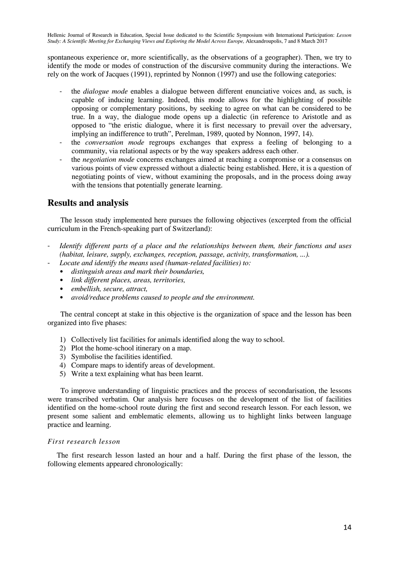spontaneous experience or, more scientifically, as the observations of a geographer). Then, we try to identify the mode or modes of construction of the discursive community during the interactions. We rely on the work of Jacques (1991), reprinted by Nonnon (1997) and use the following categories:

- the *dialogue mode* enables a dialogue between different enunciative voices and, as such, is capable of inducing learning. Indeed, this mode allows for the highlighting of possible opposing or complementary positions, by seeking to agree on what can be considered to be true. In a way, the dialogue mode opens up a dialectic (in reference to Aristotle and as opposed to "the eristic dialogue, where it is first necessary to prevail over the adversary, implying an indifference to truth", Perelman, 1989, quoted by Nonnon, 1997, 14).
- the *conversation mode* regroups exchanges that express a feeling of belonging to a community, via relational aspects or by the way speakers address each other.
- the *negotiation mode* concerns exchanges aimed at reaching a compromise or a consensus on various points of view expressed without a dialectic being established. Here, it is a question of negotiating points of view, without examining the proposals, and in the process doing away with the tensions that potentially generate learning.

### **Results and analysis**

 The lesson study implemented here pursues the following objectives (excerpted from the official curriculum in the French-speaking part of Switzerland):

- *Identify different parts of a place and the relationships between them, their functions and uses (habitat, leisure, supply, exchanges, reception, passage, activity, transformation, ...).* 
	- *Locate and identify the means used (human-related facilities) to:* 
		- *distinguish areas and mark their boundaries,*
		- *link different places, areas, territories,*
		- *embellish, secure, attract,*
		- *avoid/reduce problems caused to people and the environment.*

 The central concept at stake in this objective is the organization of space and the lesson has been organized into five phases:

- 1) Collectively list facilities for animals identified along the way to school.
- 2) Plot the home-school itinerary on a map.
- 3) Symbolise the facilities identified.
- 4) Compare maps to identify areas of development.
- 5) Write a text explaining what has been learnt.

 To improve understanding of linguistic practices and the process of secondarisation, the lessons were transcribed verbatim. Our analysis here focuses on the development of the list of facilities identified on the home-school route during the first and second research lesson. For each lesson, we present some salient and emblematic elements, allowing us to highlight links between language practice and learning.

#### *First research lesson*

 The first research lesson lasted an hour and a half. During the first phase of the lesson, the following elements appeared chronologically: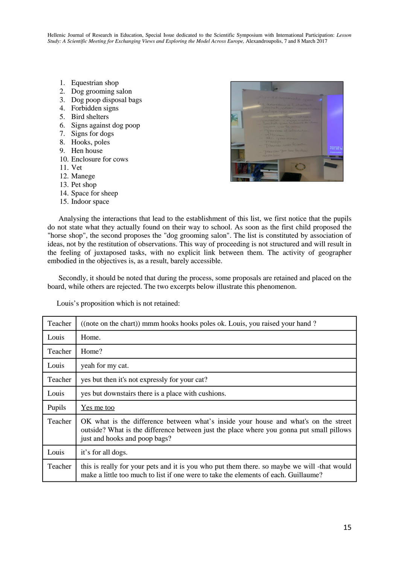- 1. Equestrian shop
- 2. Dog grooming salon
- 3. Dog poop disposal bags
- 4. Forbidden signs
- 5. Bird shelters
- 6. Signs against dog poop
- 7. Signs for dogs
- 8. Hooks, poles
- 9. Hen house
- 10. Enclosure for cows
- 11. Vet
- 12. Manege
- 13. Pet shop
- 14. Space for sheep
- 15. Indoor space



 Analysing the interactions that lead to the establishment of this list, we first notice that the pupils do not state what they actually found on their way to school. As soon as the first child proposed the "horse shop", the second proposes the "dog grooming salon". The list is constituted by association of ideas, not by the restitution of observations. This way of proceeding is not structured and will result in the feeling of juxtaposed tasks, with no explicit link between them. The activity of geographer embodied in the objectives is, as a result, barely accessible.

 Secondly, it should be noted that during the process, some proposals are retained and placed on the board, while others are rejected. The two excerpts below illustrate this phenomenon.

Louis's proposition which is not retained:

| Teacher | ((note on the chart)) mmm hooks hooks poles ok. Louis, you raised your hand?                                                                                                                                     |  |
|---------|------------------------------------------------------------------------------------------------------------------------------------------------------------------------------------------------------------------|--|
| Louis   | Home.                                                                                                                                                                                                            |  |
| Teacher | Home?                                                                                                                                                                                                            |  |
| Louis   | yeah for my cat.                                                                                                                                                                                                 |  |
| Teacher | yes but then it's not expressly for your cat?                                                                                                                                                                    |  |
| Louis   | yes but downstairs there is a place with cushions.                                                                                                                                                               |  |
| Pupils  | <u>Yes me too</u>                                                                                                                                                                                                |  |
| Teacher | OK what is the difference between what's inside your house and what's on the street<br>outside? What is the difference between just the place where you gonna put small pillows<br>just and hooks and poop bags? |  |
| Louis   | it's for all dogs.                                                                                                                                                                                               |  |
| Teacher | this is really for your pets and it is you who put them there. so maybe we will -that would<br>make a little too much to list if one were to take the elements of each. Guillaume?                               |  |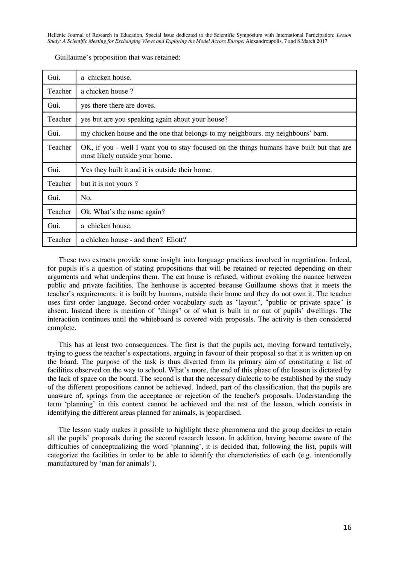| Gui.    | a chicken house.                                                                                                            |  |
|---------|-----------------------------------------------------------------------------------------------------------------------------|--|
| Teacher | a chicken house?                                                                                                            |  |
| Gui.    | yes there there are doves.                                                                                                  |  |
| Teacher | yes but are you speaking again about your house?                                                                            |  |
| Gui.    | my chicken house and the one that belongs to my neighbours. my neighbours' barn.                                            |  |
| Teacher | OK, if you - well I want you to stay focused on the things humans have built but that are<br>most likely outside your home. |  |
| Gui.    | Yes they built it and it is outside their home.                                                                             |  |
| Teacher | but it is not yours?                                                                                                        |  |
| Gui.    | No.                                                                                                                         |  |
| Teacher | Ok. What's the name again?                                                                                                  |  |
| Gui.    | a chicken house.                                                                                                            |  |
| Teacher | a chicken house - and then? Eliott?                                                                                         |  |

Guillaume's proposition that was retained:

 These two extracts provide some insight into language practices involved in negotiation. Indeed, for pupils it's a question of stating propositions that will be retained or rejected depending on their arguments and what underpins them. The cat house is refused, without evoking the nuance between public and private facilities. The henhouse is accepted because Guillaume shows that it meets the teacher's requirements: it is built by humans, outside their home and they do not own it. The teacher uses first order language. Second-order vocabulary such as "layout", "public or private space" is absent. Instead there is mention of "things" or of what is built in or out of pupils' dwellings. The interaction continues until the whiteboard is covered with proposals. The activity is then considered complete.

 This has at least two consequences. The first is that the pupils act, moving forward tentatively, trying to guess the teacher's expectations, arguing in favour of their proposal so that it is written up on the board. The purpose of the task is thus diverted from its primary aim of constituting a list of facilities observed on the way to school. What's more, the end of this phase of the lesson is dictated by the lack of space on the board. The second is that the necessary dialectic to be established by the study of the different propositions cannot be achieved. Indeed, part of the classification, that the pupils are unaware of, springs from the acceptance or rejection of the teacher's proposals. Understanding the term 'planning' in this context cannot be achieved and the rest of the lesson, which consists in identifying the different areas planned for animals, is jeopardised.

 The lesson study makes it possible to highlight these phenomena and the group decides to retain all the pupils' proposals during the second research lesson. In addition, having become aware of the difficulties of conceptualizing the word 'planning', it is decided that, following the list, pupils will categorize the facilities in order to be able to identify the characteristics of each (e.g. intentionally manufactured by 'man for animals').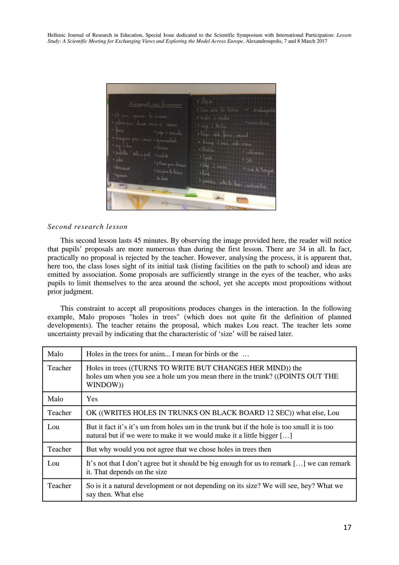

#### *Second research lesson*

 This second lesson lasts 45 minutes. By observing the image provided here, the reader will notice that pupils' proposals are more numerous than during the first lesson. There are 34 in all. In fact, practically no proposal is rejected by the teacher. However, analysing the process, it is apparent that, here too, the class loses sight of its initial task (listing facilities on the path to school) and ideas are emitted by association. Some proposals are sufficiently strange in the eyes of the teacher, who asks pupils to limit themselves to the area around the school, yet she accepts most propositions without prior judgment.

 This constraint to accept all propositions produces changes in the interaction. In the following example, Malo proposes "holes in trees" (which does not quite fit the definition of planned developments). The teacher retains the proposal, which makes Lou react. The teacher lets some uncertainty prevail by indicating that the characteristic of 'size' will be raised later.

| Malo         | Holes in the trees for anim I mean for birds or the                                                                                                                 |
|--------------|---------------------------------------------------------------------------------------------------------------------------------------------------------------------|
| Teacher      | Holes in trees ((TURNS TO WRITE BUT CHANGES HER MIND)) the<br>holes um when you see a hole um you mean there in the trunk? ((POINTS OUT THE<br>WINDOW))             |
| Malo         | <b>Yes</b>                                                                                                                                                          |
| Teacher      | OK ((WRITES HOLES IN TRUNKS ON BLACK BOARD 12 SEC)) what else, Lou                                                                                                  |
| $L_{\Omega}$ | But it fact it's it's um from holes um in the trunk but if the hole is too small it is too<br>natural but if we were to make it we would make it a little bigger [] |
| Teacher      | But why would you not agree that we chose holes in trees then                                                                                                       |
| Lou          | It's not that I don't agree but it should be big enough for us to remark [] we can remark<br>it. That depends on the size                                           |
| Teacher      | So is it a natural development or not depending on its size? We will see, hey? What we<br>say then. What else                                                       |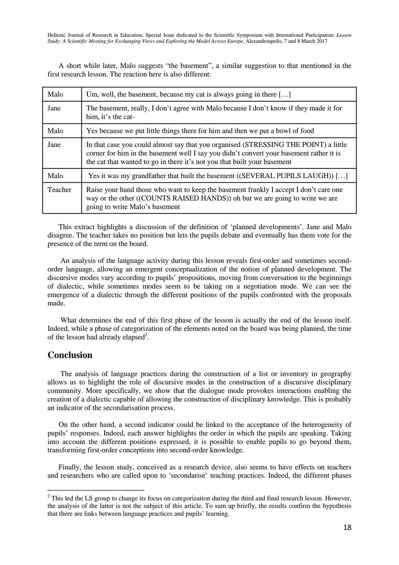A short while later, Malo suggests "the basement", a similar suggestion to that mentioned in the first research lesson. The reaction here is also different:

| Malo    | Um, well, the basement, because my cat is always going in there []                                                                                                                                                                                         |
|---------|------------------------------------------------------------------------------------------------------------------------------------------------------------------------------------------------------------------------------------------------------------|
| Jane    | The basement, really, I don't agree with Malo because I don't know if they made it for<br>him, it's the cat-                                                                                                                                               |
| Malo    | Yes because we put little things there for him and then we put a bowl of food                                                                                                                                                                              |
| Jane    | In that case you could almost say that you organised (STRESSING THE POINT) a little<br>corner for him in the basement well I say you didn't convert your basement rather it is<br>the cat that wanted to go in there it's not you that built your basement |
| Malo    | Yes it was my grandfather that built the basement ((SEVERAL PUPILS LAUGH)) []                                                                                                                                                                              |
| Teacher | Raise your hand those who want to keep the basement frankly I accept I don't care one<br>way or the other ((COUNTS RAISED HANDS)) oh but we are going to write we are<br>going to write Malo's basement                                                    |

 This extract highlights a discussion of the definition of 'planned developments'. Jane and Malo disagree. The teacher takes no position but lets the pupils debate and eventually has them vote for the presence of the term on the board.

 An analysis of the language activity during this lesson reveals first-order and sometimes secondorder language, allowing an emergent conceptualization of the notion of planned development. The discursive modes vary according to pupils' propositions, moving from conversation to the beginnings of dialectic, while sometimes modes seem to be taking on a negotiation mode. We can see the emergence of a dialectic through the different positions of the pupils confronted with the proposals made.

 What determines the end of this first phase of the lesson is actually the end of the lesson itself. Indeed, while a phase of categorization of the elements noted on the board was being planned, the time of the lesson had already elapsed<sup>2</sup>.

### **Conclusion**

 The analysis of language practices during the construction of a list or inventory in geography allows us to highlight the role of discursive modes in the construction of a discursive disciplinary community. More specifically, we show that the dialogue mode provokes interactions enabling the creation of a dialectic capable of allowing the construction of disciplinary knowledge. This is probably an indicator of the secondarisation process.

 On the other hand, a second indicator could be linked to the acceptance of the heterogeneity of pupils' responses. Indeed, each answer highlights the order in which the pupils are speaking. Taking into account the different positions expressed, it is possible to enable pupils to go beyond them, transforming first-order conceptions into second-order knowledge.

 Finally, the lesson study, conceived as a research device, also seems to have effects on teachers and researchers who are called upon to 'secondarise' teaching practices. Indeed, the different phases

<sup>&</sup>lt;sup>2</sup> This led the LS group to change its focus on categorization during the third and final research lesson. However, the analysis of the latter is not the subject of this article. To sum up briefly, the results confirm the hypothesis that there are links between language practices and pupils' learning.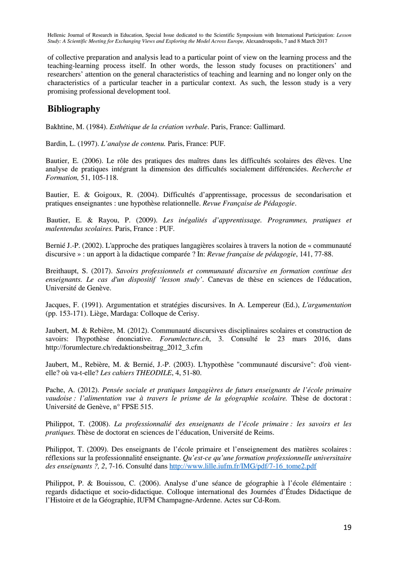of collective preparation and analysis lead to a particular point of view on the learning process and the teaching-learning process itself. In other words, the lesson study focuses on practitioners' and researchers' attention on the general characteristics of teaching and learning and no longer only on the characteristics of a particular teacher in a particular context. As such, the lesson study is a very promising professional development tool.

## **Bibliography**

Bakhtine, M. (1984). *Esthétique de la création verbale*. Paris, France: Gallimard.

Bardin, L. (1997). *L'analyse de contenu.* Paris, France: PUF.

Bautier, E. (2006). Le rôle des pratiques des maîtres dans les difficultés scolaires des élèves. Une analyse de pratiques intégrant la dimension des difficultés socialement différenciées. *Recherche et Formation,* 51, 105-118.

Bautier, E. & Goigoux, R. (2004). Difficultés d'apprentissage, processus de secondarisation et pratiques enseignantes : une hypothèse relationnelle. *Revue Française de Pédagogie*.

 Bautier, E. & Rayou, P. (2009). *Les inégalités d'apprentissage. Programmes, pratiques et malentendus scolaires.* Paris, France : PUF.

Bernié J.-P. (2002). L'approche des pratiques langagières scolaires à travers la notion de « communauté discursive » : un apport à la didactique comparée ? In: *Revue française de pédagogie*, 141, 77-88.

Breithaupt, S. (2017). *Savoirs professionnels et communauté discursive en formation continue des enseignants. Le cas d'un dispositif 'lesson study'*. Canevas de thèse en sciences de l'éducation, Université de Genève.

Jacques, F. (1991). Argumentation et stratégies discursives. In A. Lempereur (Ed.), *L'argumentation* (pp. 153-171). Liège, Mardaga: Colloque de Cerisy.

Jaubert, M. & Rebière, M. (2012). Communauté discursives disciplinaires scolaires et construction de savoirs: l'hypothèse énonciative. *Forumlecture.ch*, 3. Consulté le 23 mars 2016, dans http://forumlecture.ch/redaktionsbeitrag\_2012\_3.cfm

Jaubert, M., Rebière, M. & Bernié, J.-P. (2003). L'hypothèse "communauté discursive": d'où vientelle? où va-t-elle? *Les cahiers THEODILE*, 4, 51-80.

Pache, A. (2012). *Pensée sociale et pratiques langagières de futurs enseignants de l'école primaire vaudoise : l'alimentation vue à travers le prisme de la géographie scolaire.* Thèse de doctorat : Université de Genève, n° FPSE 515.

Philippot, T. (2008). *La professionnalié des enseignants de l'école primaire : les savoirs et les pratiques.* Thèse de doctorat en sciences de l'éducation, Université de Reims.

Philippot, T. (2009). Des enseignants de l'école primaire et l'enseignement des matières scolaires : réflexions sur la professionnalité enseignante. *Qu'est-ce qu'une formation professionnelle universitaire des enseignants ?, 2*, 7-16. Consulté dans http://www.lille.iufm.fr/IMG/pdf/7-16\_tome2.pdf

Philippot, P. & Bouissou, C. (2006). Analyse d'une séance de géographie à l'école élémentaire : regards didactique et socio-didactique. Colloque international des Journées d'Études Didactique de l'Histoire et de la Géographie, IUFM Champagne-Ardenne. Actes sur Cd-Rom.